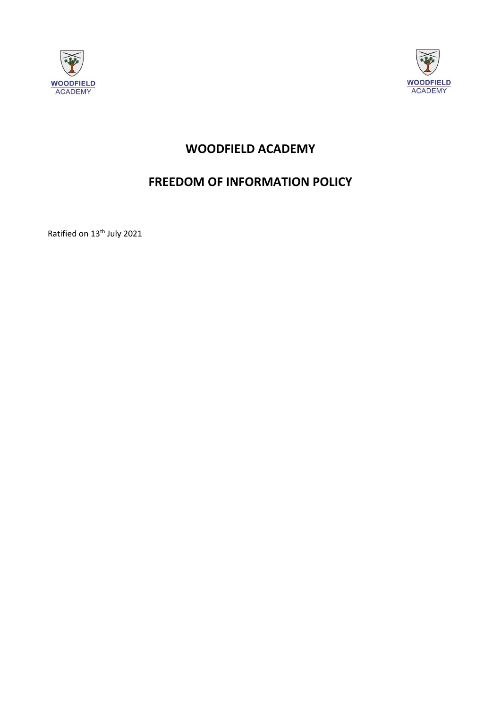



# **WOODFIELD ACADEMY**

# **FREEDOM OF INFORMATION POLICY**

Ratified on 13th July 2021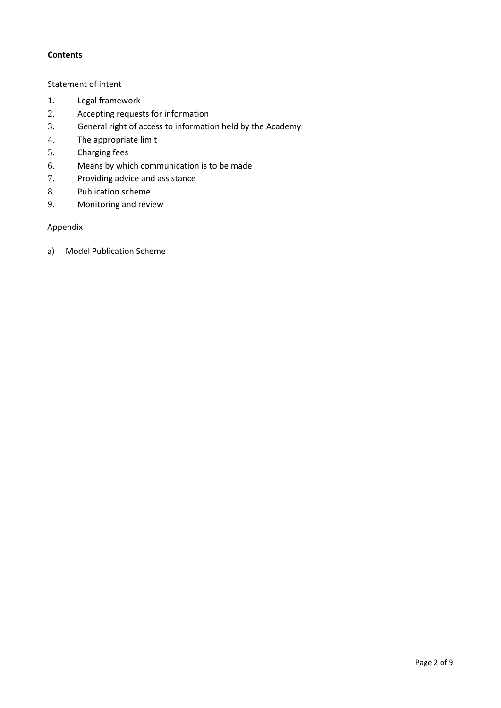# **Contents**

# [Statement of intent](#page-1-0)

- 1. [Legal framework](#page-2-0)
- 2. [Accepting requests for information](#page-3-0)
- 3. [General right of access to information held by the Academy](#page-3-1)
- 4. [The appropriate limit](#page-4-0)
- 5. [Charging fees](#page-5-0)
- 6. Means by which communication is to be made
- 7. [Providing advice and assistance](#page-6-0)
- 8. [Publication scheme](#page-7-0)
- 9. [Monitoring and review](#page-7-1)

# Appendix

<span id="page-1-0"></span>a) [Model Publication Scheme](#page-7-2)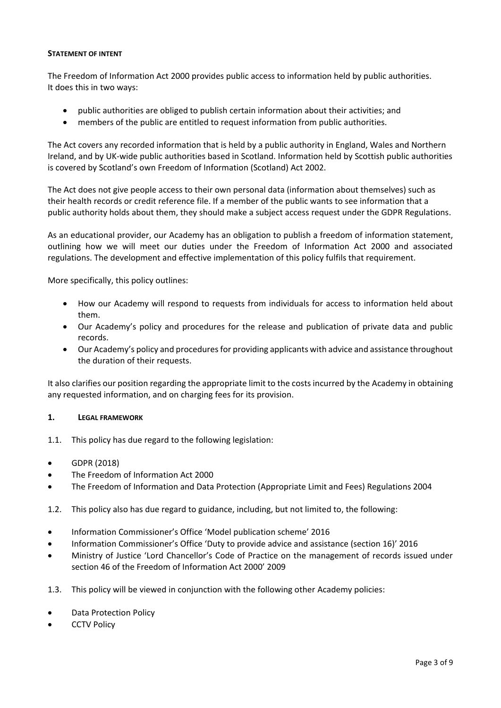# **STATEMENT OF INTENT**

The Freedom of Information Act 2000 provides public access to information held by public authorities. It does this in two ways:

- public authorities are obliged to publish certain information about their activities; and
- members of the public are entitled to request information from public authorities.

The Act covers any recorded information that is held by a public authority in England, Wales and Northern Ireland, and by UK-wide public authorities based in Scotland. Information held by Scottish public authorities is covered by Scotland's own Freedom of Information (Scotland) Act 2002.

The Act does not give people access to their own personal data (information about themselves) such as their health records or credit reference file. If a member of the public wants to see information that a public authority holds about them, they should make a subject access request under the GDPR Regulations.

As an educational provider, our Academy has an obligation to publish a freedom of information statement, outlining how we will meet our duties under the Freedom of Information Act 2000 and associated regulations. The development and effective implementation of this policy fulfils that requirement.

More specifically, this policy outlines:

- How our Academy will respond to requests from individuals for access to information held about them.
- Our Academy's policy and procedures for the release and publication of private data and public records.
- Our Academy's policy and procedures for providing applicants with advice and assistance throughout the duration of their requests.

It also clarifies our position regarding the appropriate limit to the costs incurred by the Academy in obtaining any requested information, and on charging fees for its provision.

#### <span id="page-2-0"></span>**1. LEGAL FRAMEWORK**

- 1.1. This policy has due regard to the following legislation:
- GDPR (2018)
- The Freedom of Information Act 2000
- The Freedom of Information and Data Protection (Appropriate Limit and Fees) Regulations 2004
- 1.2. This policy also has due regard to guidance, including, but not limited to, the following:
- Information Commissioner's Office 'Model publication scheme' 2016
- Information Commissioner's Office 'Duty to provide advice and assistance (section 16)' 2016
- Ministry of Justice 'Lord Chancellor's Code of Practice on the management of records issued under section 46 of the Freedom of Information Act 2000' 2009
- 1.3. This policy will be viewed in conjunction with the following other Academy policies:
- Data Protection Policy
- **CCTV Policy**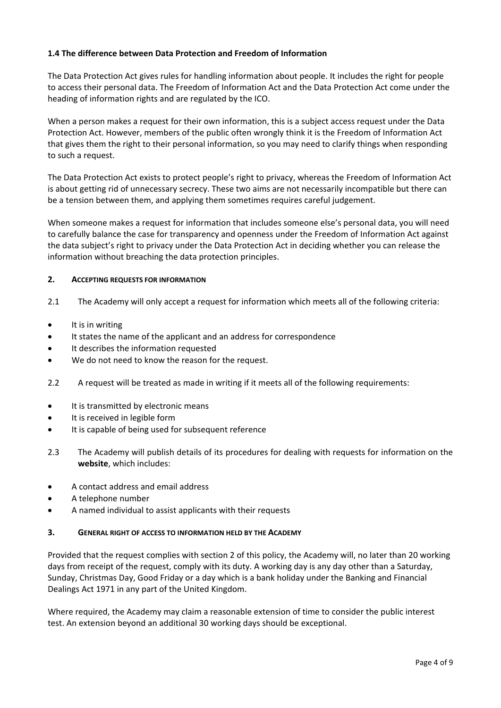# **1.4 The difference between Data Protection and Freedom of Information**

The Data Protection Act gives rules for handling information about people. It includes the right for people to access their personal data. The Freedom of Information Act and the Data Protection Act come under the heading of information rights and are regulated by the ICO.

When a person makes a request for their own information, this is a subject access request under the Data Protection Act. However, members of the public often wrongly think it is the Freedom of Information Act that gives them the right to their personal information, so you may need to clarify things when responding to such a request.

The Data Protection Act exists to protect people's right to privacy, whereas the Freedom of Information Act is about getting rid of unnecessary secrecy. These two aims are not necessarily incompatible but there can be a tension between them, and applying them sometimes requires careful judgement.

When someone makes a request for information that includes someone else's personal data, you will need to carefully balance the case for transparency and openness under the Freedom of Information Act against the data subject's right to privacy under the Data Protection Act in deciding whether you can release the information without breaching the data protection principles.

### <span id="page-3-0"></span>**2. ACCEPTING REQUESTS FOR INFORMATION**

- 2.1 The Academy will only accept a request for information which meets all of the following criteria:
- It is in writing
- It states the name of the applicant and an address for correspondence
- It describes the information requested
- We do not need to know the reason for the request.
- 2.2 A request will be treated as made in writing if it meets all of the following requirements:
- It is transmitted by electronic means
- It is received in legible form
- It is capable of being used for subsequent reference
- 2.3 The Academy will publish details of its procedures for dealing with requests for information on the **website**, which includes:
- A contact address and email address
- A telephone number
- A named individual to assist applicants with their requests

#### <span id="page-3-1"></span>**3. GENERAL RIGHT OF ACCESS TO INFORMATION HELD BY THE ACADEMY**

Provided that the request complies with section 2 of this policy, the Academy will, no later than 20 working days from receipt of the request, comply with its duty. A working day is any day other than a Saturday, Sunday, Christmas Day, Good Friday or a day which is a bank holiday under the Banking and Financial Dealings Act 1971 in any part of the United Kingdom.

Where required, the Academy may claim a reasonable extension of time to consider the public interest test. An extension beyond an additional 30 working days should be exceptional.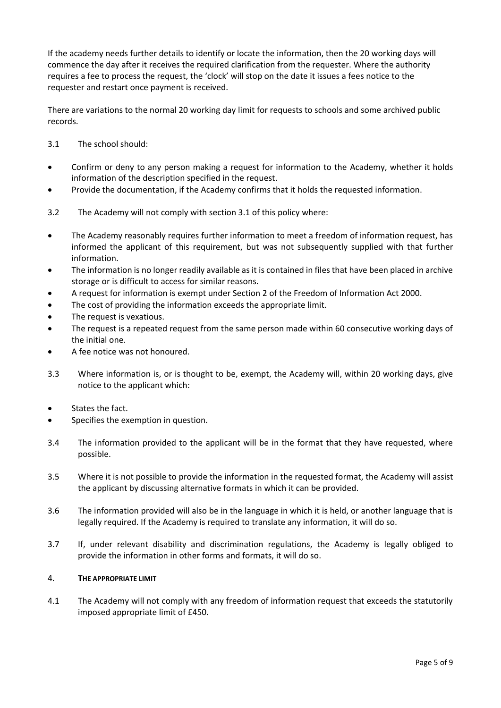If the academy needs further details to identify or locate the information, then the 20 working days will commence the day after it receives the required clarification from the requester. Where the authority requires a fee to process the request, the 'clock' will stop on the date it issues a fees notice to the requester and restart once payment is received.

There are variations to the normal 20 working day limit for requests to schools and some archived public records.

- 3.1 The school should:
- Confirm or deny to any person making a request for information to the Academy, whether it holds information of the description specified in the request.
- Provide the documentation, if the Academy confirms that it holds the requested information.
- 3.2 The Academy will not comply with section 3.1 of this policy where:
- The Academy reasonably requires further information to meet a freedom of information request, has informed the applicant of this requirement, but was not subsequently supplied with that further information.
- The information is no longer readily available as it is contained in files that have been placed in archive storage or is difficult to access for similar reasons.
- A request for information is exempt under Section 2 of the Freedom of Information Act 2000.
- The cost of providing the information exceeds the appropriate limit.
- The request is vexatious.
- The request is a repeated request from the same person made within 60 consecutive working days of the initial one.
- A fee notice was not honoured.
- 3.3 Where information is, or is thought to be, exempt, the Academy will, within 20 working days, give notice to the applicant which:
- States the fact.
- Specifies the exemption in question.
- 3.4 The information provided to the applicant will be in the format that they have requested, where possible.
- 3.5 Where it is not possible to provide the information in the requested format, the Academy will assist the applicant by discussing alternative formats in which it can be provided.
- 3.6 The information provided will also be in the language in which it is held, or another language that is legally required. If the Academy is required to translate any information, it will do so.
- 3.7 If, under relevant disability and discrimination regulations, the Academy is legally obliged to provide the information in other forms and formats, it will do so.

# <span id="page-4-0"></span>4. **THE APPROPRIATE LIMIT**

4.1 The Academy will not comply with any freedom of information request that exceeds the statutorily imposed appropriate limit of £450.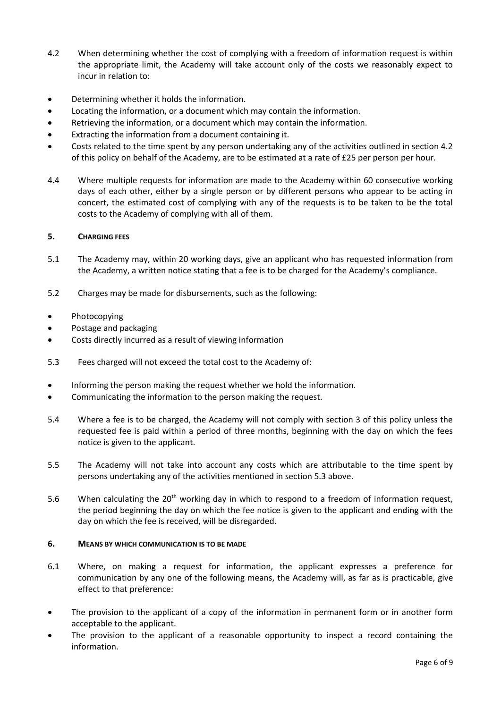- 4.2 When determining whether the cost of complying with a freedom of information request is within the appropriate limit, the Academy will take account only of the costs we reasonably expect to incur in relation to:
- Determining whether it holds the information.
- Locating the information, or a document which may contain the information.
- Retrieving the information, or a document which may contain the information.
- Extracting the information from a document containing it.
- Costs related to the time spent by any person undertaking any of the activities outlined in section 4.2 of this policy on behalf of the Academy, are to be estimated at a rate of £25 per person per hour.
- 4.4 Where multiple requests for information are made to the Academy within 60 consecutive working days of each other, either by a single person or by different persons who appear to be acting in concert, the estimated cost of complying with any of the requests is to be taken to be the total costs to the Academy of complying with all of them.

# <span id="page-5-0"></span>**5. CHARGING FEES**

- 5.1 The Academy may, within 20 working days, give an applicant who has requested information from the Academy, a written notice stating that a fee is to be charged for the Academy's compliance.
- 5.2 Charges may be made for disbursements, such as the following:

#### **Photocopying**

- Postage and packaging
- Costs directly incurred as a result of viewing information
- 5.3 Fees charged will not exceed the total cost to the Academy of:
- Informing the person making the request whether we hold the information.
- Communicating the information to the person making the request.
- 5.4 Where a fee is to be charged, the Academy will not comply with section 3 of this policy unless the requested fee is paid within a period of three months, beginning with the day on which the fees notice is given to the applicant.
- 5.5 The Academy will not take into account any costs which are attributable to the time spent by persons undertaking any of the activities mentioned in section 5.3 above.
- 5.6 When calculating the  $20^{th}$  working day in which to respond to a freedom of information request, the period beginning the day on which the fee notice is given to the applicant and ending with the day on which the fee is received, will be disregarded.

#### **6. MEANS BY WHICH COMMUNICATION IS TO BE MADE**

- 6.1 Where, on making a request for information, the applicant expresses a preference for communication by any one of the following means, the Academy will, as far as is practicable, give effect to that preference:
- The provision to the applicant of a copy of the information in permanent form or in another form acceptable to the applicant.
- The provision to the applicant of a reasonable opportunity to inspect a record containing the information.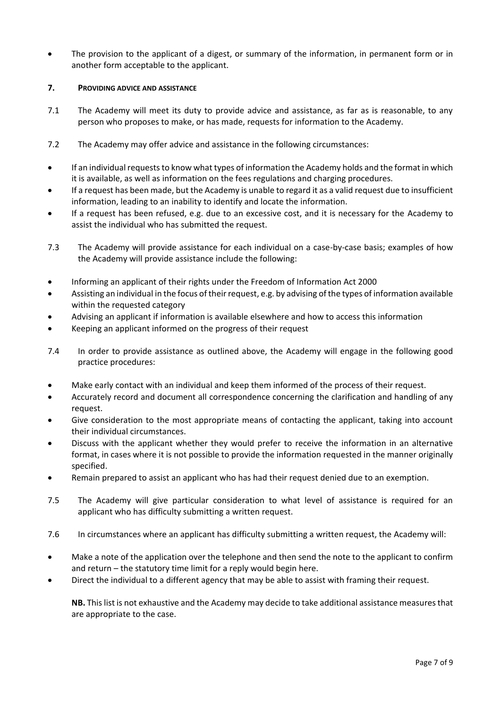The provision to the applicant of a digest, or summary of the information, in permanent form or in another form acceptable to the applicant.

## <span id="page-6-0"></span>**7. PROVIDING ADVICE AND ASSISTANCE**

- 7.1 The Academy will meet its duty to provide advice and assistance, as far as is reasonable, to any person who proposes to make, or has made, requests for information to the Academy.
- 7.2 The Academy may offer advice and assistance in the following circumstances:
- If an individual requests to know what types of information the Academy holds and the format in which it is available, as well as information on the fees regulations and charging procedures.
- If a request has been made, but the Academy is unable to regard it as a valid request due to insufficient information, leading to an inability to identify and locate the information.
- If a request has been refused, e.g. due to an excessive cost, and it is necessary for the Academy to assist the individual who has submitted the request.
- 7.3 The Academy will provide assistance for each individual on a case-by-case basis; examples of how the Academy will provide assistance include the following:
- Informing an applicant of their rights under the Freedom of Information Act 2000
- Assisting an individual in the focus of their request, e.g. by advising of the types of information available within the requested category
- Advising an applicant if information is available elsewhere and how to access this information
- Keeping an applicant informed on the progress of their request
- 7.4 In order to provide assistance as outlined above, the Academy will engage in the following good practice procedures:
- Make early contact with an individual and keep them informed of the process of their request.
- Accurately record and document all correspondence concerning the clarification and handling of any request.
- Give consideration to the most appropriate means of contacting the applicant, taking into account their individual circumstances.
- Discuss with the applicant whether they would prefer to receive the information in an alternative format, in cases where it is not possible to provide the information requested in the manner originally specified.
- Remain prepared to assist an applicant who has had their request denied due to an exemption.
- 7.5 The Academy will give particular consideration to what level of assistance is required for an applicant who has difficulty submitting a written request.
- 7.6 In circumstances where an applicant has difficulty submitting a written request, the Academy will:
- Make a note of the application over the telephone and then send the note to the applicant to confirm and return – the statutory time limit for a reply would begin here.
- Direct the individual to a different agency that may be able to assist with framing their request.

**NB.** This list is not exhaustive and the Academy may decide to take additional assistance measures that are appropriate to the case.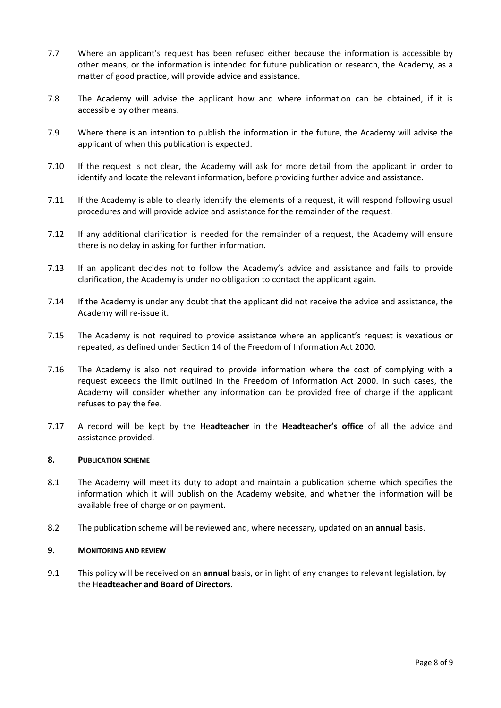- 7.7 Where an applicant's request has been refused either because the information is accessible by other means, or the information is intended for future publication or research, the Academy, as a matter of good practice, will provide advice and assistance.
- 7.8 The Academy will advise the applicant how and where information can be obtained, if it is accessible by other means.
- 7.9 Where there is an intention to publish the information in the future, the Academy will advise the applicant of when this publication is expected.
- 7.10 If the request is not clear, the Academy will ask for more detail from the applicant in order to identify and locate the relevant information, before providing further advice and assistance.
- 7.11 If the Academy is able to clearly identify the elements of a request, it will respond following usual procedures and will provide advice and assistance for the remainder of the request.
- 7.12 If any additional clarification is needed for the remainder of a request, the Academy will ensure there is no delay in asking for further information.
- 7.13 If an applicant decides not to follow the Academy's advice and assistance and fails to provide clarification, the Academy is under no obligation to contact the applicant again.
- 7.14 If the Academy is under any doubt that the applicant did not receive the advice and assistance, the Academy will re-issue it.
- 7.15 The Academy is not required to provide assistance where an applicant's request is vexatious or repeated, as defined under Section 14 of the Freedom of Information Act 2000.
- 7.16 The Academy is also not required to provide information where the cost of complying with a request exceeds the limit outlined in the Freedom of Information Act 2000. In such cases, the Academy will consider whether any information can be provided free of charge if the applicant refuses to pay the fee.
- 7.17 A record will be kept by the He**adteacher** in the **Headteacher's office** of all the advice and assistance provided.

# <span id="page-7-0"></span>**8. PUBLICATION SCHEME**

- 8.1 The Academy will meet its duty to adopt and maintain a publication scheme which specifies the information which it will publish on the Academy website, and whether the information will be available free of charge or on payment.
- 8.2 The publication scheme will be reviewed and, where necessary, updated on an **annual** basis.

#### <span id="page-7-1"></span>**9. MONITORING AND REVIEW**

<span id="page-7-2"></span>9.1 This policy will be received on an **annual** basis, or in light of any changes to relevant legislation, by the H**eadteacher and Board of Directors**.